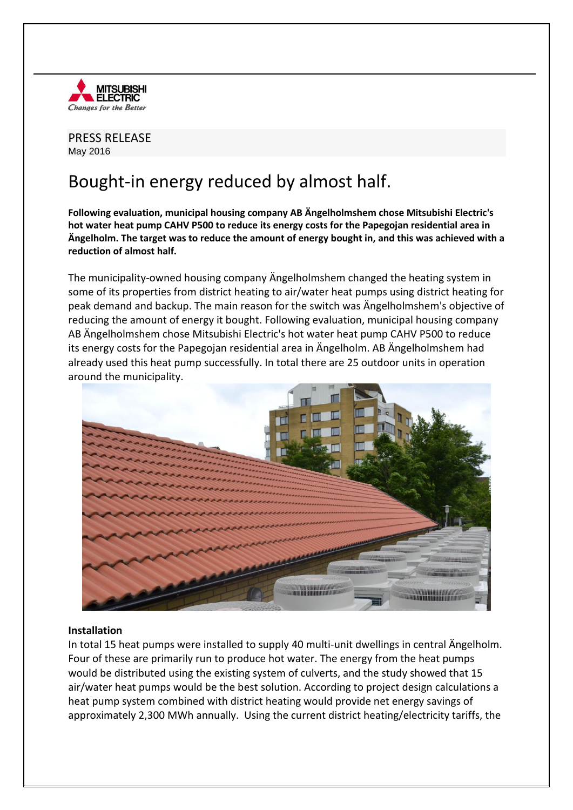

PRESS RELEASE May 2016

# Bought-in energy reduced by almost half.

**Following evaluation, municipal housing company AB Ängelholmshem chose Mitsubishi Electric's hot water heat pump CAHV P500 to reduce its energy costs for the Papegojan residential area in Ängelholm. The target was to reduce the amount of energy bought in, and this was achieved with a reduction of almost half.** 

The municipality-owned housing company Ängelholmshem changed the heating system in some of its properties from district heating to air/water heat pumps using district heating for peak demand and backup. The main reason for the switch was Ängelholmshem's objective of reducing the amount of energy it bought. Following evaluation, municipal housing company AB Ängelholmshem chose Mitsubishi Electric's hot water heat pump CAHV P500 to reduce its energy costs for the Papegojan residential area in Ängelholm. AB Ängelholmshem had already used this heat pump successfully. In total there are 25 outdoor units in operation around the municipality.



## **Installation**

In total 15 heat pumps were installed to supply 40 multi-unit dwellings in central Ängelholm. Four of these are primarily run to produce hot water. The energy from the heat pumps would be distributed using the existing system of culverts, and the study showed that 15 air/water heat pumps would be the best solution. According to project design calculations a heat pump system combined with district heating would provide net energy savings of approximately 2,300 MWh annually. Using the current district heating/electricity tariffs, the